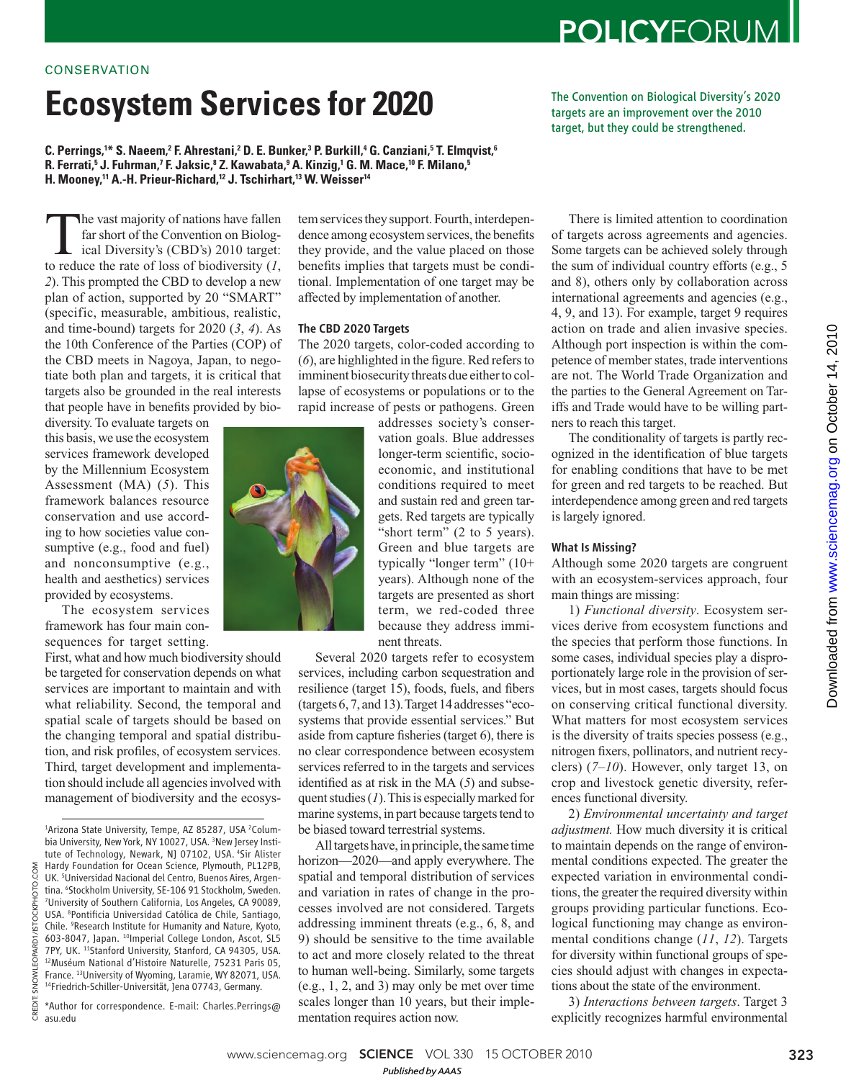# **Ecosystem Services for 2020**

**C. Perrings, <sup>1</sup>\* S. Naeem, <sup>2</sup> F. Ahrestani, <sup>2</sup> D. E. Bunker, <sup>3</sup> P. Burkill, <sup>4</sup> G. Canziani, <sup>5</sup> T. Elmqvist, <sup>6</sup> R. Ferrati, <sup>5</sup> J. Fuhrman, <sup>7</sup> F. Jaksic, <sup>8</sup> Z. Kawabata, <sup>9</sup> A. Kinzig, <sup>1</sup> G. M. Mace, <sup>10</sup> F. Milano, <sup>5</sup> H. Mooney, <sup>11</sup> A.-H. Prieur-Richard, <sup>12</sup> J. Tschirhart, <sup>13</sup> W. Weisser <sup>14</sup>** 

The vast majority of nations have fallen<br>far short of the Convention on Biolog-<br>ical Diversity's (CBD's) 2010 target:<br>to reduce the rate of loss of biodiversity (1. far short of the Convention on Biological Diversity's (CBD's) 2010 target: to reduce the rate of loss of biodiversity  $(1,$ *2*). This prompted the CBD to develop a new plan of action, supported by 20 "SMART" (specific, measurable, ambitious, realistic, and time-bound) targets for  $2020$   $(3, 4)$ . As the 10th Conference of the Parties (COP) of the CBD meets in Nagoya, Japan, to negotiate both plan and targets, it is critical that targets also be grounded in the real interests that people have in benefits provided by bio-

diversity. To evaluate targets on this basis, we use the ecosystem services framework developed by the Millennium Ecosystem Assessment (MA) (5). This framework balances resource conservation and use according to how societies value consumptive (e.g., food and fuel) and nonconsumptive (e.g., health and aesthetics) services provided by ecosystems.

The ecosystem services framework has four main consequences for target setting.

First, what and how much biodiversity should be targeted for conservation depends on what services are important to maintain and with what reliability. Second, the temporal and spatial scale of targets should be based on the changing temporal and spatial distribution, and risk profiles, of ecosystem services. Third, target development and implementation should include all agencies involved with management of biodiversity and the ecosys-

CREDIT: SNOWLEOPARD1/ISTOCKPHOTO.COM

LEOPARD1 **IWONS** CREDIT:

COM

/ISTOCKPHOTO.

\*Author for correspondence. E-mail: Charles.Perrings@ asu.edu

tem services they support. Fourth, interdependence among ecosystem services, the benefits they provide, and the value placed on those benefits implies that targets must be conditional. Implementation of one target may be affected by implementation of another.

## The CBD 2020 Targets

The 2020 targets, color-coded according to  $(6)$ , are highlighted in the figure. Red refers to imminent biosecurity threats due either to collapse of ecosystems or populations or to the rapid increase of pests or pathogens. Green

> addresses society's conservation goals. Blue addresses longer-term scientific, socioeconomic, and institutional conditions required to meet and sustain red and green targets. Red targets are typically "short term" (2 to 5 years). Green and blue targets are typically "longer term" (10+ years). Although none of the targets are presented as short term, we red-coded three because they address imminent threats.

Several 2020 targets refer to ecosystem services, including carbon sequestration and resilience (target 15), foods, fuels, and fibers (targets 6, 7, and 13). Target 14 addresses "ecosystems that provide essential services." But aside from capture fisheries (target  $6$ ), there is no clear correspondence between ecosystem services referred to in the targets and services identified as at risk in the MA  $(5)$  and subsequent studies ( *1*). This is especially marked for marine systems, in part because targets tend to be biased toward terrestrial systems.

All targets have, in principle, the same time horizon—2020—and apply everywhere. The spatial and temporal distribution of services and variation in rates of change in the processes involved are not considered. Targets addressing imminent threats (e.g., 6, 8, and 9) should be sensitive to the time available to act and more closely related to the threat to human well-being. Similarly, some targets (e.g., 1, 2, and 3) may only be met over time scales longer than 10 years, but their implementation requires action now.

of targets across agreements and agencies. Some targets can be achieved solely through the sum of individual country efforts (e.g., 5 and 8), others only by collaboration across international agreements and agencies (e.g., 4, 9, and 13). For example, target 9 requires action on trade and alien invasive species. Although port inspection is within the competence of member states, trade interventions are not. The World Trade Organization and the parties to the General Agreement on Tariffs and Trade would have to be willing partners to reach this target.

The conditionality of targets is partly recognized in the identification of blue targets for enabling conditions that have to be met for green and red targets to be reached. But interdependence among green and red targets is largely ignored.

## What Is Missing?

Although some 2020 targets are congruent with an ecosystem-services approach, four main things are missing:

1) *Functional diversity*. Ecosystem services derive from ecosystem functions and the species that perform those functions. In some cases, individual species play a disproportionately large role in the provision of services, but in most cases, targets should focus on conserving critical functional diversity. What matters for most ecosystem services is the diversity of traits species possess (e.g., nitrogen fixers, pollinators, and nutrient recyclers)  $(7-10)$ . However, only target 13, on crop and livestock genetic diversity, references functional diversity.

2) *Environmental uncertainty and target adjustment.* How much diversity it is critical to maintain depends on the range of environmental conditions expected. The greater the expected variation in environmental conditions, the greater the required diversity within groups providing particular functions. Ecological functioning may change as environmental conditions change (11, 12). Targets for diversity within functional groups of species should adjust with changes in expectations about the state of the environment.

3) *Interactions between targets*. Target 3 explicitly recognizes harmful environmental



The Convention on Biological Diversity's 2020 targets are an improvement over the 2010 target, but they could be strengthened.

There is limited attention to coordination

<sup>&</sup>lt;sup>1</sup>Arizona State University, Tempe, AZ 85287, USA <sup>2</sup>Columbia University, New York, NY 10027, USA. 3New Jersey Institute of Technology, Newark, NJ 07102, USA. <sup>4</sup>Sir Alister Hardy Foundation for Ocean Science, Plymouth, PL12PB, UK. 5Universidad Nacional del Centro, Buenos Aires, Argentina. <sup>6</sup>Stockholm University, SE-106 91 Stockholm, Sweden. <sup>7</sup>University of Southern California, Los Angeles, CA 90089, USA. <sup>8</sup>Pontificia Universidad Católica de Chile, Santiago, Chile. <sup>9</sup>Research Institute for Humanity and Nature, Kyoto, 603-8047, Japan. <sup>10</sup>Imperial College London, Ascot, SL5 7PY, UK. <sup>11</sup>Stanford University, Stanford, CA 94305, USA. <sup>12</sup>Muséum National d'Histoire Naturelle, 75231 Paris 05, France. <sup>13</sup>University of Wyoming, Laramie, WY 82071, USA. <sup>14</sup>Friedrich-Schiller-Universität, Jena 07743, Germany.